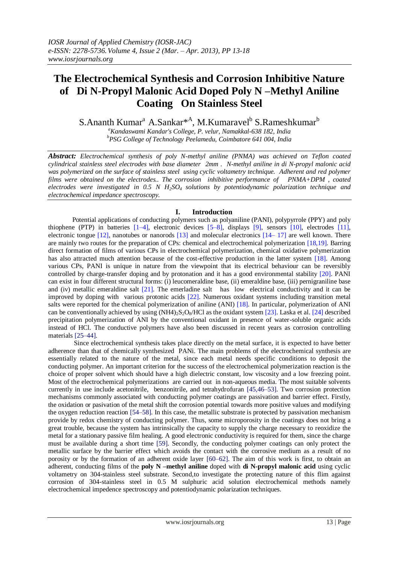# **The Electrochemical Synthesis and Corrosion Inhibitive Nature of Di N-Propyl Malonic Acid Doped Poly N –Methyl Aniline Coating On Stainless Steel**

S.Ananth Kumar<sup>a</sup> A.Sankar<sup>\*A</sup>, M.Kumaravel<sup>b</sup> S.Rameshkumar<sup>b</sup>

*<sup>a</sup>Kandaswami Kandar's College, P. velur, Namakkal-638 182, India <sup>b</sup>PSG College of Technology Peelamedu, Coimbatore 641 004, India*

*Abstract: Electrochemical synthesis of poly N-methyl aniline (PNMA) was achieved on Teflon coated cylindrical stainless steel electrodes with base diameter 2mm . N-methyl aniline in di N-propyl malonic acid*  was polymerized on the surface of stainless steel using cyclic voltametry technique. Adherent and red polymer *films were obtained on the electrodes.. The corrosion inhibitive performance of PNMA+DPM , coated electrodes were investigated in 0.5 N H2SO4 solutions by potentiodynamic polarization technique and electrochemical impedance spectroscopy.* 

# **I. Introduction**

Potential applications of conducting polymers such as polyaniline (PANI), polypyrrole (PPY) and poly thiophene (PTP) in batteries [1–4], electronic devices [5–8], displays [9], sensors [10], electrodes [11], electronic tongue [12], nanotubes or nanorods [13] and molecular electronics [14– 17] are well known. There are mainly two routes for the preparation of CPs: chemical and electrochemical polymerization [18,19]. Barring direct formation of films of various CPs in electrochemical polymerization, chemical oxidative polymerization has also attracted much attention because of the cost-effective production in the latter system [18]. Among various CPs, PANI is unique in nature from the viewpoint that its electrical behaviour can be reversibly controlled by charge-transfer doping and by protonation and it has a good environmental stability [20]. PANI can exist in four different structural forms: (i) leucomeraldine base, (ii) emeraldine base, (iii) pernigraniline base and (iv) metallic emeraldine salt [21]. The emerladine salt has low electrical conductivity and it can be improved by doping with various protonic acids [22]. Numerous oxidant systems including transition metal salts were reported for the chemical polymerization of aniline (ANI) [18]. In particular, polymerization of ANI can be conventionally achieved by using  $(NH4)$ ,  $S_2O_8/HCl$  as the oxidant system [23]. Laska et al. [24] described precipitation polymerization of ANI by the conventional oxidant in presence of water-soluble organic acids instead of HCl. The conductive polymers have also been discussed in recent years as corrosion controlling materials [25–44].

Since electrochemical synthesis takes place directly on the metal surface, it is expected to have better adherence than that of chemically synthesized PANi. The main problems of the electrochemical synthesis are essentially related to the nature of the metal, since each metal needs specific conditions to deposit the conducting polymer. An important criterion for the success of the electrochemical polymerization reaction is the choice of proper solvent which should have a high dielectric constant, low viscosity and a low freezing point. Most of the electrochemical polymerizations are carried out in non-aqueous media. The most suitable solvents currently in use include acetonitrile, benzonitrile, and tetrahydrofuran [45,46–53]. Two corrosion protection mechanisms commonly associated with conducting polymer coatings are passivation and barrier effect. Firstly, the oxidation or pasivation of the metal shift the corrosion potential towards more positive values and modifying the oxygen reduction reaction [54–58]. In this case, the metallic substrate is protected by passivation mechanism provide by redox chemistry of conducting polymer. Thus, some microporosity in the coatings does not bring a great trouble, because the system has intrinsically the capacity to supply the charge necessary to reoxidize the metal for a stationary passive film healing. A good electronic conductivity is required for them, since the charge must be available during a short time [59]. Secondly, the conducting polymer coatings can only protect the metallic surface by the barrier effect which avoids the contact with the corrosive medium as a result of no porosity or by the formation of an adherent oxide layer [60–62]. The aim of this work is first, to obtain an adherent, conducting films of the **poly N –methyl aniline** doped with **di N-propyl malonic acid** using cyclic voltametry on 304-stainless steel substrate. Second,to investigate the protecting nature of this flim against corrosion of 304-stainless steel in 0.5 M sulphuric acid solution electrochemical methods namely electrochemical impedence spectroscopy and potentiodynamic polarization techniques.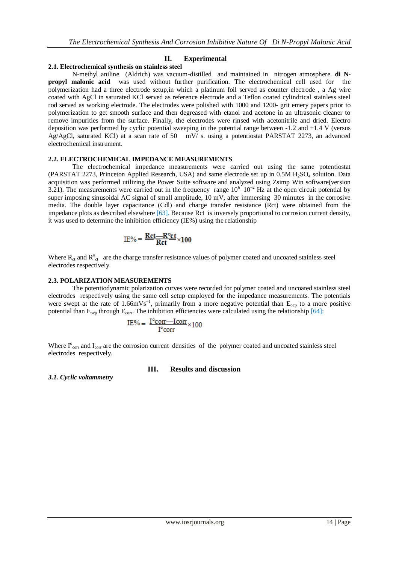# **II. Experimental**

### **2.1. Electrochemical synthesis on stainless steel**

N-methyl aniline (Aldrich) was vacuum-distilled and maintained in nitrogen atmosphere. **di Npropyl malonic acid** was used without further purification. The electrochemical cell used for the polymerization had a three electrode setup,in which a platinum foil served as counter electrode , a Ag wire coated with AgCl in saturated KCl served as reference electrode and a Teflon coated cylindrical stainless steel rod served as working electrode. The electrodes were polished with 1000 and 1200- grit emery papers prior to polymerization to get smooth surface and then degreased with etanol and acetone in an ultrasonic cleaner to remove impurities from the surface. Finally, the electrodes were rinsed with acetonitrile and dried. Electro deposition was performed by cyclic potential sweeping in the potential range between -1.2 and +1.4 V (versus Ag/AgCl, saturated KCl) at a scan rate of 50 mV/ s. using a potentiostat PARSTAT 2273, an advanced electrochemical instrument.

#### **2.2. ELECTROCHEMICAL IMPEDANCE MEASUREMENTS**

The electrochemical impedance measurements were carried out using the same potentiostat (PARSTAT 2273, Princeton Applied Research, USA) and same electrode set up in  $0.5M H<sub>2</sub>SO<sub>4</sub>$  solution. Data acquisition was performed utilizing the Power Suite software and analyzed using Zsimp Win software(version 3.21). The measurements were carried out in the frequency range  $10^{6}$ – $10^{-2}$  Hz at the open circuit potential by super imposing sinusoidal AC signal of small amplitude, 10 mV, after immersing 30 minutes in the corrosive media. The double layer capacitance (Cdl) and charge transfer resistance (Rct) were obtained from the impedance plots as described elsewhere [63]. Because Rct is inversely proportional to corrosion current density, it was used to determine the inhibition efficiency (IE%) using the relationship

$$
\text{IE}\% = \frac{Rct - R^o ct}{Rct} \times 100
$$

Where  $R_{ct}$  and  $R_{ct}^{\circ}$  are the charge transfer resistance values of polymer coated and uncoated stainless steel electrodes respectively.

#### **2.3. POLARIZATION MEASUREMENTS**

The potentiodynamic polarization curves were recorded for polymer coated and uncoated stainless steel electrodes respectively using the same cell setup employed for the impedance measurements. The potentials were swept at the rate of 1.66mVs<sup>-1</sup>, primarily from a more negative potential than  $E_{\text{ocp}}$  to a more positive potential than  $E_{\text{ocp}}$  through  $E_{\text{corr}}$ . The inhibition efficiencies were calculated using the relationship [64]:

$$
IE\% = \frac{I^{\circ}corr - Icorr}{I^{\circ}corr} \times 100
$$

Where  $I^{\circ}$ <sub>corr</sub> and  $I_{\text{corr}}$  are the corrosion current densities of the polymer coated and uncoated stainless steel electrodes respectively.

#### **III. Results and discussion**

*3.1. Cyclic voltammetry*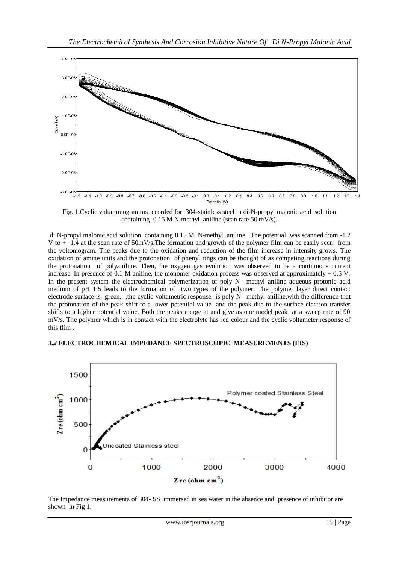

Fig. 1.Cyclic voltammogramms recorded for 304-stainless steel in di-N-propyl malonic acid solution containing 0.15 M N-methyl aniline (scan rate 50 mV/s).

di N-propyl malonic acid solution containing 0.15 M N-methyl aniline. The potential was scanned from -1.2 V to + 1.4 at the scan rate of 50mV/s.The formation and growth of the polymer film can be easily seen from the voltomogram. The peaks due to the oxidation and reduction of the film increase in intensity grows. The oxidation of amine units and the protonation of phenyl rings can be thought of as competing reactions during the protonation of polyaniline. Then, the oxygen gas evolution was observed to be a continuous current increase. In presence of 0.1 M aniline, the monomer oxidation process was observed at approximately  $+$  0.5 V. In the present system the electrochemical polymerization of poly N –methyl aniline aqueous protonic acid medium of pH 1.5 leads to the formation of two types of the polymer. The polymer layer direct contact electrode surface is green, ,the cyclic voltametric response is poly N –methyl aniline,with the difference that the protonation of the peak shift to a lower potential value and the peak due to the surface electron transfer shifts to a higher potential value. Both the peaks merge at and give as one model peak at a sweep rate of 90 mV/s. The polymer which is in contact with the electrolyte has red colour and the cyclic voltameter response of this flim .

# *3.2* **ELECTROCHEMICAL IMPEDANCE SPECTROSCOPIC MEASUREMENTS (EIS)**



The Impedance measurements of 304- SS immersed in sea water in the absence and presence of inhibitor are shown in Fig 1.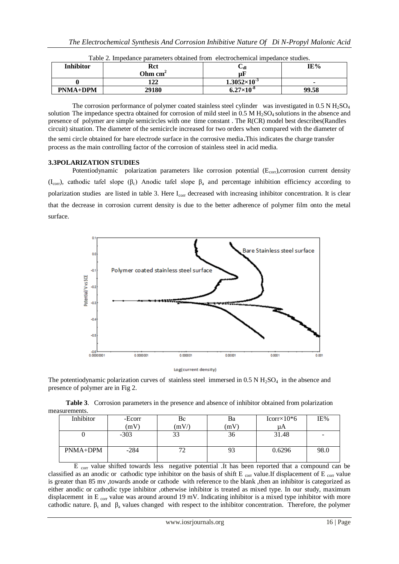| <b>Inhibitor</b> | Rct     | Վ                     | IE%   |
|------------------|---------|-----------------------|-------|
|                  | Ohm cm' | $\mu$ F               |       |
|                  | 122     | $1.3052\times10^{-3}$ |       |
| <b>PNMA+DPM</b>  | 29180   | $6.27\times10^{-8}$   | 99.58 |

| Table 2. Impedance parameters obtained from electrochemical impedance studies. |  |
|--------------------------------------------------------------------------------|--|
|--------------------------------------------------------------------------------|--|

The corrosion performance of polymer coated stainless steel cylinder was investigated in 0.5 N  $H_2SO_4$ solution The impedance spectra obtained for corrosion of mild steel in 0.5 M H<sub>2</sub>SO<sub>4</sub> solutions in the absence and presence of polymer are simple semicircles with one time constant . The R(CR) model best describes(Randles circuit) situation. The diameter of the semicircle increased for two orders when compared with the diameter of the semi circle obtained for bare electrode surface in the corrosive media.This indicates the charge transfer

process as the main controlling factor of the corrosion of stainless steel in acid media.

## **3.3POLARIZATION STUDIES**

Potentiodynamic polarization parameters like corrosion potential  $(E_{\text{corr}})$ ,corrosion current density (I<sub>corr</sub>), cathodic tafel slope (β<sub>c</sub>) Anodic tafel slope  $\beta_a$  and percentage inhibition efficiency according to polarization studies are listed in table 3. Here I<sub>corr</sub> decreased with increasing inhibitor concentration. It is clear that the decrease in corrosion current density is due to the better adherence of polymer film onto the metal surface.



The potentiodynamic polarization curves of stainless steel immersed in  $0.5$  N  $H<sub>2</sub>SO<sub>4</sub>$  in the absence and presence of polymer are in Fig 2.

**Table 3**. Corrosion parameters in the presence and absence of inhibitor obtained from polarization measurements.

| Inhibitor | -Ecorr | Вc   | Ba | $Icorr \times 10*6$ | IE%  |
|-----------|--------|------|----|---------------------|------|
|           | (mV)   | (mV) | mV | иA                  |      |
|           | $-303$ | 33   | 36 | 31.48               |      |
|           |        |      |    |                     |      |
| PNMA+DPM  | $-284$ |      | 93 | 0.6296              | 98.0 |
|           |        |      |    |                     |      |

E corr value shifted towards less negative potential .It has been reported that a compound can be classified as an anodic or cathodic type inhibitor on the basis of shift E  $_{\text{corr}}$  value.If displacement of E  $_{\text{corr}}$  value is greater than 85 mv ,towards anode or cathode with reference to the blank ,then an inhibitor is categorized as either anodic or cathodic type inhibitor ,otherwise inhibitor is treated as mixed type. In our study, maximum displacement in E corr value was around around 19 mV. Indicating inhibitor is a mixed type inhibitor with more cathodic nature.  $\beta_c$  and  $\beta_a$  values changed with respect to the inhibitor concentration. Therefore, the polymer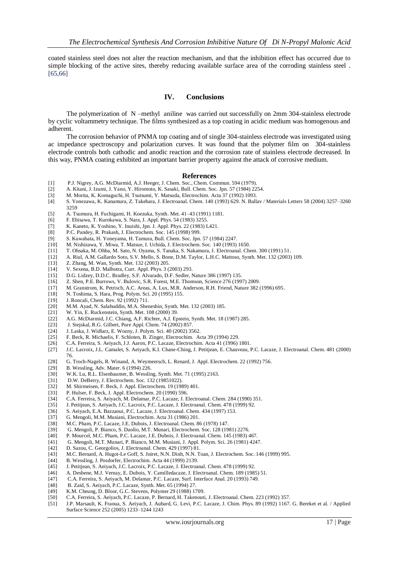coated stainless steel does not alter the reaction mechanism, and that the inhibition effect has occurred due to simple blocking of the active sites, thereby reducing available surface area of the corroding stainless steel . [65,66]

# **IV. Conclusions**

 The polymerization of N –methyl aniline was carried out successfully on 2mm 304-stainless electrode by cyclic voltammetry technique. The films synthesized as a top coating in acidic medium was homogenous and adherent.

 The corrosion behavior of PNMA top coating and of single 304-stainless electrode was investigated using ac impedance spectroscopy and polarization curves. It was found that the polymer film on 304-stainless electrode controls both cathodic and anodic reaction and the corrosion rate of stainless electrode decreased. In this way, PNMA coating exhibited an important barrier property against the attack of corrosive medium.

#### **References**

- [1] P.J. Nigrey, A.G. McDiarmid, A.J. Heeger, J. Chem. Soc., Chem. Commun. 594 (1979).
- [2] A. Kitani, J. Izumi, J. Yano, Y. Hiromoto, K. Sasaki, Bull. Chem. Soc. Jpn. 57 (1984) 2254.
- M. Morita, K. Komaguchi, H. Tsutsumi, Y. Matsuda, Electrochim. Acta 37 (1992) 1093.
- [4] S. Yonezawa, K. Kanamura, Z. Takehara, J. Electroanal. Chem. 140 (1993) 629. N. Ballav / Materials Letters 58 (2004) 3257–3260 3259
- [5] A. Tsumura, H. Fuchigami, H. Koezuka, Synth. Met. 41–43 (1991) 1181.
- [6] F. Ebisawa, T. Kurokawa, S. Nara, J. Appl. Phys. 54 (1983) 3255.
- [7] K. Kaneto, K. Yoshino, Y. Inuishi, Jpn. J. Appl. Phys. 22 (1983) L421.
- [8] P.C. Pandey, R. Prakash, J. Electrochem. Soc. 145 (1998) 999.
- [9] S. Kuwabata, H. Yoneyama, H. Tamura, Bull. Chem. Soc. Jpn. 57 (1984) 2247.
- [10] M. Nishizawa, Y. Miwa, T. Matsue, I. Uchida, J. Electrochem. Soc. 140 (1993) 1650.
- [11] T. Ohsaka, M. Ohba, M. Sato, N. Oyama, S. Tanaka, S. Nakamura, J. Electroanal. Chem. 300 (1991) 51.
- [12] A. Riul, A.M. Gallardo Soto, S.V. Mello, S. Bone, D.M. Taylor, L.H.C. Mattoso, Synth. Met. 132 (2003) 109.
- [13] Z. Zhang, M. Wan, Synth. Met. 132 (2003) 205.
- [14] V. Sexena, B.D. Malhotra, Curr. Appl. Phys. 3 (2003) 293.
- 
- [15] D.G. Lidzey, D.D.C. Bradley, S.F. Alvarado, D.F. Sedler, Nature 386 (1997) 135. Z. Shen, P.E. Burrows, V. Bulovic, S.R. Forest, M.E. Thomson, Science 276 (1997) 2009.
- [17] M. Granstrom, K. Petrisch, A.C. Areas, A. Lux, M.R. Anderson, R.H. Friend, Nature 382 (1996) 695.
- N. Toshima, S. Hara, Prog. Polym. Sci. 20 (1995) 155.
- [19] J. Roncali, Chem. Rev. 92 (1992) 711.<br>[20] M.M. Ayad, N. Salahuddin, M.A. Sher
- M.M. Ayad, N. Salahuddin, M.A. Sheneshin, Synth. Met. 132 (2003) 185.
- [21] W. Yin, E. Ruckenstein, Synth. Met. 108 (2000) 39.
- [22] A.G. McDiarmid, J.C. Chiang, A.F. Richter, A.J. Epstein, Synth. Met. 18 (1987) 285.<br>[23] J. Stejskal, R.G. Gilbert, Pure Appl. Chem. 74 (2002) 857.
- [23] J. Stejskal, R.G. Gilbert, Pure Appl. Chem. 74 (2002) 857.
- J. Laska, J. Widlarz, E. Wozny, J. Polym. Sci. 40 (2002) 3562.
- [25] F. Beck, R. Michaelis, F. Schloten, B. Zinger, Electrochim. Acta 39 (1994) 229.
- [26] C.A. Ferreira, S. Aeiyach, J.J. Aaron, P.C. Lacaze, Electrochim. Acta 41 (1996) 1801.
- [27] J.C. Lacroix, J.L. Camalet, S. Aeiyach, K.I. Chane-Ching, J. Petitjean, E. Chauveau, P.C. Lacaze, J. Electroanal. Chem. 481 (2000) 76.
- [28] G. Troch-Nagels, R. Winand, A. Weymeersch, L. Renard, J. Appl. Electrochem. 22 (1992) 756.
- [29] B. Wessling, Adv. Mater. 6 (1994) 226.
- [30] W.K. Lu, R.L. Elsenbaumer, B. Wessling, Synth. Met. 71 (1995) 2163.
- [31] D.W. DeBerry, J. Electrochem. Soc. 132 (19851022).
- [32] M. Shirmeisen, F. Beck, J. Appl. Electrochem. 19 (1989) 401.
- P. Hulser, F. Beck, J. Appl. Electrochem. 20 (1990) 596.
- [34] C.A. Ferreira, S. Aeiyach, M. Delamar, P.C. Lacaze, J. Electroanal. Chem. 284 (1990) 351.
- [35] J. Petitjean, S. Aeiyach, J.C. Lacroix, P.C. Lacaze, J. Electroanal. Chem. 478 (1999) 92.
- [36] S. Aeiyach, E.A. Bazzaoui, P.C. Lacaze, J. Electroanal. Chem. 434 (1997) 153.<br>[37] G. Mengoli, M.M. Musiani, Electrochim. Acta 31 (1986) 201.
- [37] G. Mengoli, M.M. Musiani, Electrochim. Acta 31 (1986) 201.
- [38] M.C. Pham, P.C. Lacaze, J.E. Dubois, J. Electroanal. Chem. 86 (1978) 147.
- 
- [39] G. Mengoli, P. Bianco, S. Daolio, M.T. Munari, Electrochem. Soc. 128 (1981) 2276. P. Mourcel, M.C. Pham, P.C. Lacaze, J.E. Dubois, J. Electroanal. Chem. 145 (1983) 467.
- [41] G. Mengoli, M.T. Munari, P. Bianco, M.M. Musiani, J. Appl. Polym. Sci. 26 (1981) 4247.
- [42] D. Sazou, C. Georgolios, J. Electroanal. Chem. 429 (1997) 81.
- [43] M.C. Bernard, A. Hugot-Le Goff, S. Joiret, N.N. Dinh, N.N. Toan, J. Electrochem. Soc. 146 (1999) 995.
- [44] B. Wessling, J. Posdorfer, Electrochim. Acta 44 (1999) 2139.
- J. Petitjean, S. Aeiyach, J.C. Lacroix, P.C. Lacaze, J. Electroanal. Chem. 478 (1999) 92.
- [46] A. Desbene, M.J. Vernay, E. Dubois, Y. Camilledacaze, J. Electroanal. Chem. 189 (1985) 51.
- [47] C.A. Ferreira, S. Aeiyach, M. Delamar, P.C. Lacaze, Surf. Interface Anal. 20 (1993) 749.
- [48] B. Zaid, S. Aeiyach, P.C. Lacaze, Synth. Met. 65 (1994) 27.
- [49] K.M. Cheung, D. Bloor, G.C. Stevens, Polymer 29 (1988) 1709.
- [50] C.A. Ferreira, S. Aeiyach, P.C. Lacaze, P. Bernard, H. Takenouti, J. Electroanal. Chem. 223 (1992) 357.
- [51] J.P. Marsault, K. Fraoua, S. Aeiyach, J. Aubard, G. Levi, P.C. Lacaze, J. Chim. Phys. 89 (1992) 1167. G. Bereket et al. / Applied Surface Science 252 (2005) 1233–1244 1243